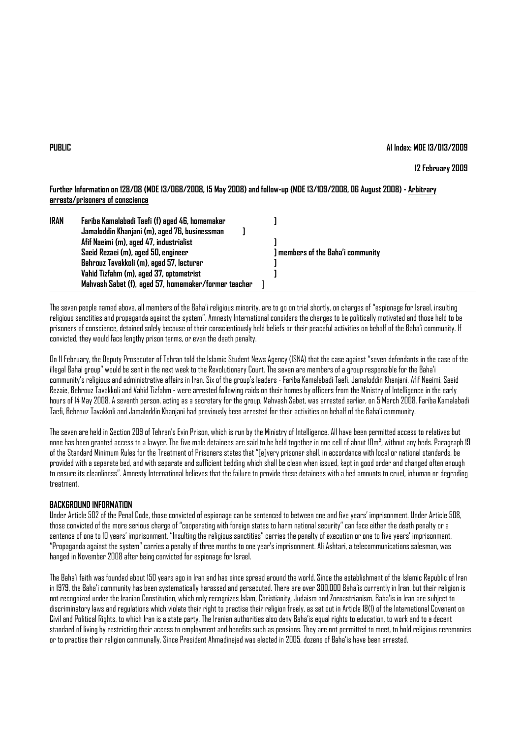## **PUBLIC AI Index: MDE 13/013/2009**

# **12 February 2009**

**Further Information on 128/08 (MDE 13/068/2008, 15 May 2008) and follow-up (MDE 13/109/2008, 06 August 2008) - Arbitrary arrests/prisoners of conscience**

| <b>IRAN</b> | Fariba Kamalabadi Taefi (f) aged 46, homemaker       |                                   |  |
|-------------|------------------------------------------------------|-----------------------------------|--|
|             | Jamaloddin Khanjani (m), aged 76, businessman        |                                   |  |
|             | Afif Naeimi (m), aged 47, industrialist              |                                   |  |
|             | Saeid Rezaei (m), aged 50, engineer                  | ] members of the Baha'i community |  |
|             | Behrouz Tavakkoli (m), aged 57, lecturer             |                                   |  |
|             | Vahid Tizfahm (m), aged 37, optometrist              |                                   |  |
|             | Mahvash Sabet (f), aged 57, homemaker/former teacher |                                   |  |

The seven people named above, all members of the Baha'i religious minority, are to go on trial shortly, on charges of "espionage for Israel, insulting religious sanctities and propaganda against the system". Amnesty International considers the charges to be politically motivated and those held to be prisoners of conscience, detained solely because of their conscientiously held beliefs or their peaceful activities on behalf of the Baha'i community. If convicted, they would face lengthy prison terms, or even the death penalty.

On 11 February, the Deputy Prosecutor of Tehran told the Islamic Student News Agency (ISNA) that the case against "seven defendants in the case of the illegal Bahai group" would be sent in the next week to the Revolutionary Court. The seven are members of a group responsible for the Baha'i community's religious and administrative affairs in Iran. Six of the group's leaders - Fariba Kamalabadi Taefi, Jamaloddin Khanjani, Afif Naeimi, Saeid Rezaie, Behrouz Tavakkoli and Vahid Tizfahm - were arrested following raids on their homes by officers from the Ministry of Intelligence in the early hours of 14 May 2008. A seventh person, acting as a secretary for the group, Mahvash Sabet, was arrested earlier, on 5 March 2008. Fariba Kamalabadi Taefi, Behrouz Tavakkoli and Jamaloddin Khanjani had previously been arrested for their activities on behalf of the Baha'i community.

The seven are held in Section 209 of Tehran's Evin Prison, which is run by the Ministry of Intelligence. All have been permitted access to relatives but none has been granted access to a lawyer. The five male detainees are said to be held together in one cell of about 10m², without any beds. Paragraph 19 of the Standard Minimum Rules for the Treatment of Prisoners states that "[e]very prisoner shall, in accordance with local or national standards, be provided with a separate bed, and with separate and sufficient bedding which shall be clean when issued, kept in good order and changed often enough to ensure its cleanliness". Amnesty International believes that the failure to provide these detainees with a bed amounts to cruel, inhuman or degrading treatment.

### **BACKGROUND INFORMATION**

Under Article 502 of the Penal Code, those convicted of espionage can be sentenced to between one and five years' imprisonment. Under Article 508, those convicted of the more serious charge of "cooperating with foreign states to harm national security" can face either the death penalty or a sentence of one to 10 years' imprisonment. "Insulting the religious sanctities" carries the penalty of execution or one to five years' imprisonment. "Propaganda against the system" carries a penalty of three months to one year's imprisonment. Ali Ashtari, a telecommunications salesman, was hanged in November 2008 after being convicted for espionage for Israel.

The Baha'i faith was founded about 150 years ago in Iran and has since spread around the world. Since the establishment of the Islamic Republic of Iran in 1979, the Baha'i community has been systematically harassed and persecuted. There are over 300,000 Baha'is currently in Iran, but their religion is not recognized under the Iranian Constitution, which only recognizes Islam, Christianity, Judaism and Zoroastrianism. Baha'is in Iran are subject to discriminatory laws and regulations which violate their right to practise their religion freely, as set out in Article 18(1) of the International Covenant on Civil and Political Rights, to which Iran is a state party. The Iranian authorities also deny Baha'is equal rights to education, to work and to a decent standard of living by restricting their access to employment and benefits such as pensions. They are not permitted to meet, to hold religious ceremonies or to practise their religion communally. Since President Ahmadinejad was elected in 2005, dozens of Baha'is have been arrested.